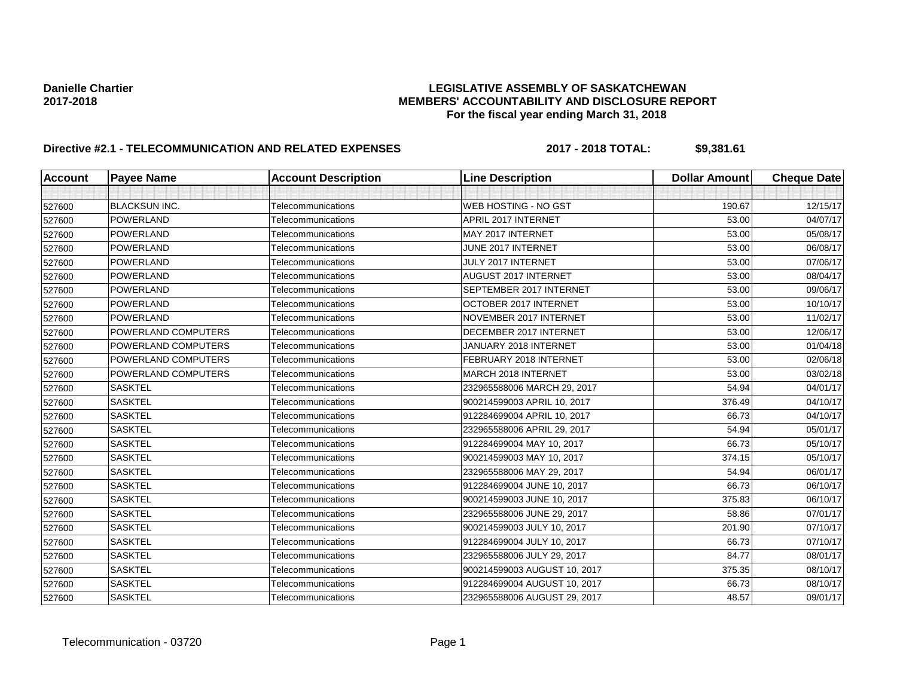## **Danielle Chartier LEGISLATIVE ASSEMBLY OF SASKATCHEWAN 2017-2018 MEMBERS' ACCOUNTABILITY AND DISCLOSURE REPORT For the fiscal year ending March 31, 2018**

# **Directive #2.1 - TELECOMMUNICATION AND RELATED EXPENSES 2017 - 2018 TOTAL: \$9,381.61**

| Account | <b>Payee Name</b>    | <b>Account Description</b> | <b>Line Description</b>      | <b>Dollar Amount</b> | <b>Cheque Date</b> |
|---------|----------------------|----------------------------|------------------------------|----------------------|--------------------|
|         |                      |                            |                              |                      |                    |
| 527600  | <b>BLACKSUN INC.</b> | Telecommunications         | <b>WEB HOSTING - NO GST</b>  | 190.67               | 12/15/17           |
| 527600  | POWERLAND            | Telecommunications         | APRIL 2017 INTERNET          | 53.00                | 04/07/17           |
| 527600  | <b>POWERLAND</b>     | Telecommunications         | MAY 2017 INTERNET            | 53.00                | 05/08/17           |
| 527600  | <b>POWERLAND</b>     | Telecommunications         | JUNE 2017 INTERNET           | 53.00                | 06/08/17           |
| 527600  | <b>POWERLAND</b>     | Telecommunications         | JULY 2017 INTERNET           | 53.00                | 07/06/17           |
| 527600  | <b>POWERLAND</b>     | Telecommunications         | <b>AUGUST 2017 INTERNET</b>  | 53.00                | 08/04/17           |
| 527600  | <b>POWERLAND</b>     | Telecommunications         | SEPTEMBER 2017 INTERNET      | 53.00                | 09/06/17           |
| 527600  | <b>POWERLAND</b>     | Telecommunications         | OCTOBER 2017 INTERNET        | 53.00                | 10/10/17           |
| 527600  | <b>POWERLAND</b>     | Telecommunications         | NOVEMBER 2017 INTERNET       | 53.00                | 11/02/17           |
| 527600  | POWERLAND COMPUTERS  | Telecommunications         | DECEMBER 2017 INTERNET       | 53.00                | 12/06/17           |
| 527600  | POWERLAND COMPUTERS  | Telecommunications         | JANUARY 2018 INTERNET        | 53.00                | 01/04/18           |
| 527600  | POWERLAND COMPUTERS  | Telecommunications         | FEBRUARY 2018 INTERNET       | 53.00                | 02/06/18           |
| 527600  | POWERLAND COMPUTERS  | Telecommunications         | <b>MARCH 2018 INTERNET</b>   | 53.00                | 03/02/18           |
| 527600  | <b>SASKTEL</b>       | Telecommunications         | 232965588006 MARCH 29, 2017  | 54.94                | 04/01/17           |
| 527600  | <b>SASKTEL</b>       | Telecommunications         | 900214599003 APRIL 10, 2017  | 376.49               | 04/10/17           |
| 527600  | <b>SASKTEL</b>       | Telecommunications         | 912284699004 APRIL 10, 2017  | 66.73                | 04/10/17           |
| 527600  | <b>SASKTEL</b>       | Telecommunications         | 232965588006 APRIL 29, 2017  | 54.94                | 05/01/17           |
| 527600  | <b>SASKTEL</b>       | Telecommunications         | 912284699004 MAY 10, 2017    | 66.73                | 05/10/17           |
| 527600  | <b>SASKTEL</b>       | Telecommunications         | 900214599003 MAY 10, 2017    | 374.15               | 05/10/17           |
| 527600  | <b>SASKTEL</b>       | Telecommunications         | 232965588006 MAY 29, 2017    | 54.94                | 06/01/17           |
| 527600  | <b>SASKTEL</b>       | Telecommunications         | 912284699004 JUNE 10, 2017   | 66.73                | 06/10/17           |
| 527600  | <b>SASKTEL</b>       | Telecommunications         | 900214599003 JUNE 10, 2017   | 375.83               | 06/10/17           |
| 527600  | <b>SASKTEL</b>       | Telecommunications         | 232965588006 JUNE 29, 2017   | 58.86                | 07/01/17           |
| 527600  | <b>SASKTEL</b>       | Telecommunications         | 900214599003 JULY 10, 2017   | 201.90               | 07/10/17           |
| 527600  | <b>SASKTEL</b>       | Telecommunications         | 912284699004 JULY 10, 2017   | 66.73                | 07/10/17           |
| 527600  | <b>SASKTEL</b>       | Telecommunications         | 232965588006 JULY 29, 2017   | 84.77                | 08/01/17           |
| 527600  | <b>SASKTEL</b>       | Telecommunications         | 900214599003 AUGUST 10, 2017 | 375.35               | 08/10/17           |
| 527600  | <b>SASKTEL</b>       | Telecommunications         | 912284699004 AUGUST 10, 2017 | 66.73                | 08/10/17           |
| 527600  | <b>SASKTEL</b>       | Telecommunications         | 232965588006 AUGUST 29, 2017 | 48.57                | 09/01/17           |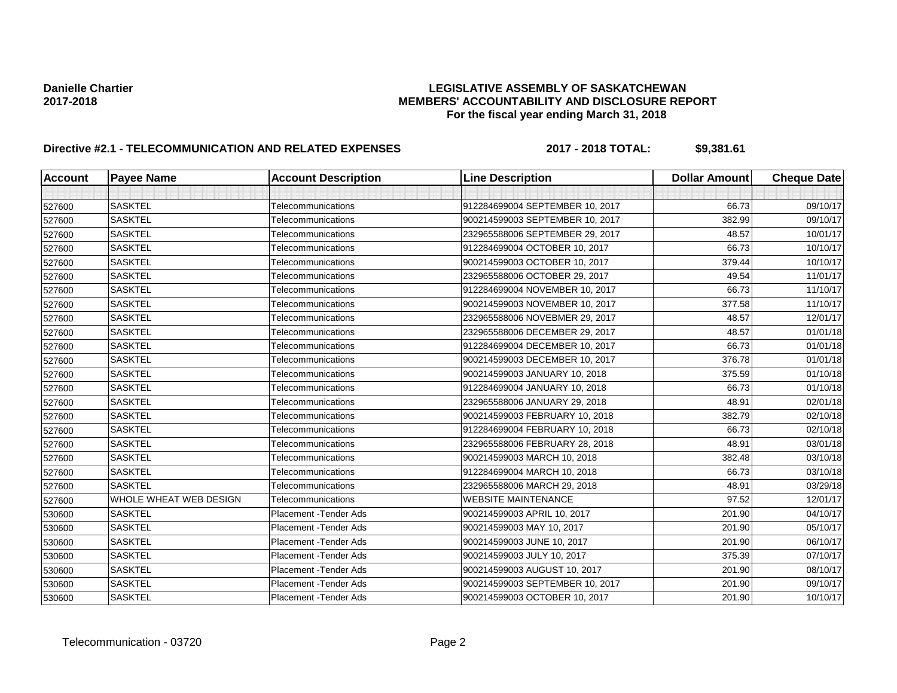## **Danielle Chartier LEGISLATIVE ASSEMBLY OF SASKATCHEWAN 2017-2018 MEMBERS' ACCOUNTABILITY AND DISCLOSURE REPORT For the fiscal year ending March 31, 2018**

# **Directive #2.1 - TELECOMMUNICATION AND RELATED EXPENSES 2017 - 2018 TOTAL: \$9,381.61**

| <b>Account</b> | <b>Payee Name</b>             | <b>Account Description</b> | <b>Line Description</b>         | <b>Dollar Amount</b> | <b>Cheque Date</b> |
|----------------|-------------------------------|----------------------------|---------------------------------|----------------------|--------------------|
|                |                               |                            |                                 |                      |                    |
| 527600         | <b>SASKTEL</b>                | Telecommunications         | 912284699004 SEPTEMBER 10, 2017 | 66.73                | 09/10/17           |
| 527600         | <b>SASKTEL</b>                | Telecommunications         | 900214599003 SEPTEMBER 10, 2017 | 382.99               | 09/10/17           |
| 527600         | <b>SASKTEL</b>                | Telecommunications         | 232965588006 SEPTEMBER 29, 2017 | 48.57                | 10/01/17           |
| 527600         | <b>SASKTEL</b>                | Telecommunications         | 912284699004 OCTOBER 10, 2017   | 66.73                | 10/10/17           |
| 527600         | <b>SASKTEL</b>                | Telecommunications         | 900214599003 OCTOBER 10, 2017   | 379.44               | 10/10/17           |
| 527600         | <b>SASKTEL</b>                | Telecommunications         | 232965588006 OCTOBER 29, 2017   | 49.54                | 11/01/17           |
| 527600         | <b>SASKTEL</b>                | Telecommunications         | 912284699004 NOVEMBER 10, 2017  | 66.73                | 11/10/17           |
| 527600         | <b>SASKTEL</b>                | Telecommunications         | 900214599003 NOVEMBER 10, 2017  | 377.58               | 11/10/17           |
| 527600         | <b>SASKTEL</b>                | Telecommunications         | 232965588006 NOVEBMER 29, 2017  | 48.57                | 12/01/17           |
| 527600         | <b>SASKTEL</b>                | Telecommunications         | 232965588006 DECEMBER 29, 2017  | 48.57                | 01/01/18           |
| 527600         | <b>SASKTEL</b>                | Telecommunications         | 912284699004 DECEMBER 10, 2017  | 66.73                | 01/01/18           |
| 527600         | <b>SASKTEL</b>                | Telecommunications         | 900214599003 DECEMBER 10, 2017  | 376.78               | 01/01/18           |
| 527600         | <b>SASKTEL</b>                | Telecommunications         | 900214599003 JANUARY 10, 2018   | 375.59               | 01/10/18           |
| 527600         | <b>SASKTEL</b>                | Telecommunications         | 912284699004 JANUARY 10, 2018   | 66.73                | 01/10/18           |
| 527600         | <b>SASKTEL</b>                | Telecommunications         | 232965588006 JANUARY 29, 2018   | 48.91                | 02/01/18           |
| 527600         | <b>SASKTEL</b>                | Telecommunications         | 900214599003 FEBRUARY 10, 2018  | 382.79               | 02/10/18           |
| 527600         | <b>SASKTEL</b>                | Telecommunications         | 912284699004 FEBRUARY 10, 2018  | 66.73                | 02/10/18           |
| 527600         | <b>SASKTEL</b>                | Telecommunications         | 232965588006 FEBRUARY 28, 2018  | 48.91                | 03/01/18           |
| 527600         | <b>SASKTEL</b>                | Telecommunications         | 900214599003 MARCH 10, 2018     | 382.48               | 03/10/18           |
| 527600         | <b>SASKTEL</b>                | Telecommunications         | 912284699004 MARCH 10, 2018     | 66.73                | 03/10/18           |
| 527600         | <b>SASKTEL</b>                | Telecommunications         | 232965588006 MARCH 29, 2018     | 48.91                | 03/29/18           |
| 527600         | <b>WHOLE WHEAT WEB DESIGN</b> | Telecommunications         | <b>WEBSITE MAINTENANCE</b>      | 97.52                | 12/01/17           |
| 530600         | <b>SASKTEL</b>                | Placement - Tender Ads     | 900214599003 APRIL 10, 2017     | 201.90               | 04/10/17           |
| 530600         | <b>SASKTEL</b>                | Placement - Tender Ads     | 900214599003 MAY 10, 2017       | 201.90               | 05/10/17           |
| 530600         | <b>SASKTEL</b>                | Placement - Tender Ads     | 900214599003 JUNE 10, 2017      | 201.90               | 06/10/17           |
| 530600         | <b>SASKTEL</b>                | Placement - Tender Ads     | 900214599003 JULY 10, 2017      | 375.39               | 07/10/17           |
| 530600         | <b>SASKTEL</b>                | Placement - Tender Ads     | 900214599003 AUGUST 10, 2017    | 201.90               | 08/10/17           |
| 530600         | <b>SASKTEL</b>                | Placement - Tender Ads     | 900214599003 SEPTEMBER 10, 2017 | 201.90               | 09/10/17           |
| 530600         | <b>SASKTEL</b>                | Placement - Tender Ads     | 900214599003 OCTOBER 10, 2017   | 201.90               | 10/10/17           |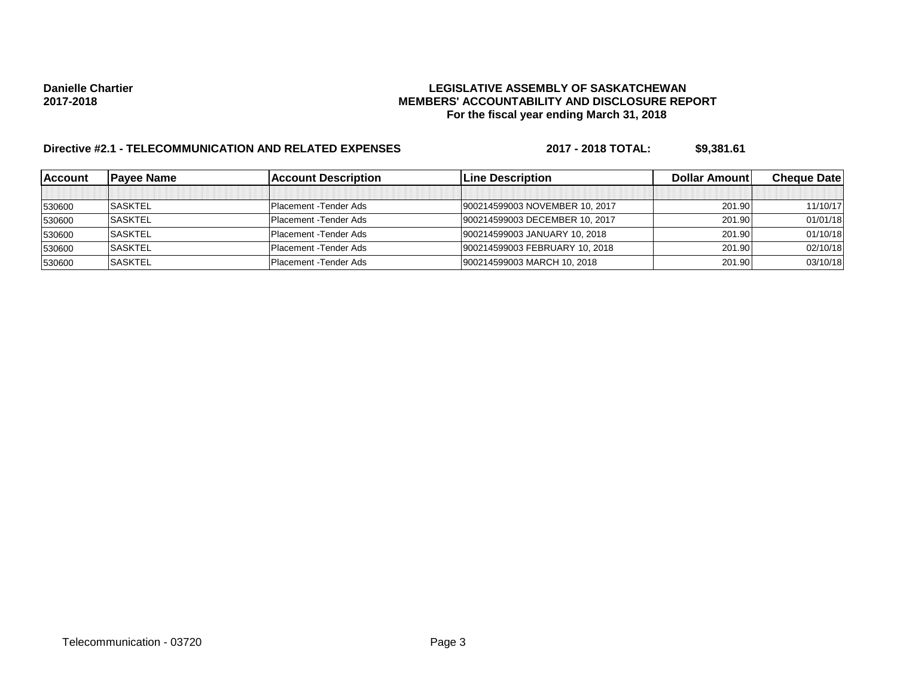## **Danielle Chartier LEGISLATIVE ASSEMBLY OF SASKATCHEWAN 2017-2018 MEMBERS' ACCOUNTABILITY AND DISCLOSURE REPORT For the fiscal year ending March 31, 2018**

# **Directive #2.1 - TELECOMMUNICATION AND RELATED EXPENSES 2017 - 2018 TOTAL: \$9,381.61**

| lAccount | IPavee Name    | <b>Account Description</b>     | <b>Line Description</b>        | <b>Dollar Amountl</b> | <b>Cheque Datel</b> |
|----------|----------------|--------------------------------|--------------------------------|-----------------------|---------------------|
|          |                |                                |                                |                       |                     |
| 530600   | <b>SASKTEL</b> | Placement - Tender Ads         | 900214599003 NOVEMBER 10, 2017 | 201.90                | 11/10/17            |
| 530600   | <b>SASKTEL</b> | <b>Placement</b> - Tender Ads  | 900214599003 DECEMBER 10, 2017 | 201.90                | 01/01/18            |
| 530600   | <b>SASKTEL</b> | <b>Placement - Tender Ads</b>  | 900214599003 JANUARY 10, 2018  | 201.90                | 01/10/18            |
| 530600   | <b>SASKTEL</b> | Placement - Tender Ads         | 900214599003 FEBRUARY 10, 2018 | 201.90                | 02/10/18            |
| 530600   | <b>SASKTEL</b> | <b>IPlacement - Tender Ads</b> | 900214599003 MARCH 10, 2018    | 201.90                | 03/10/18            |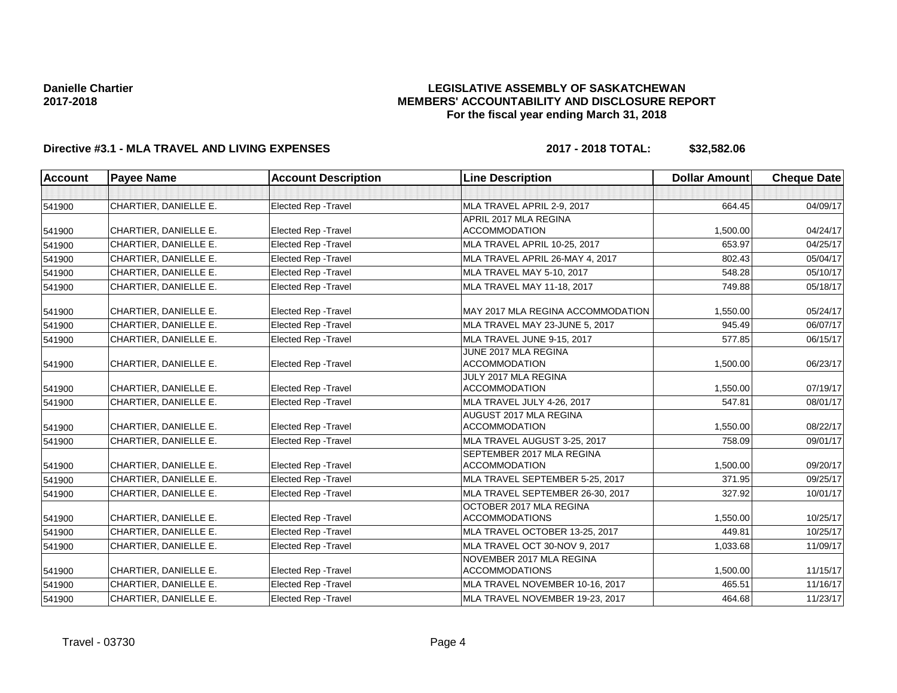## **LEGISLATIVE ASSEMBLY OF SASKATCHEWAN MEMBERS' ACCOUNTABILITY AND DISCLOSURE REPORT For the fiscal year ending March 31, 2018**

## **Directive #3.1 - MLA TRAVEL AND LIVING EXPENSES 2017 - 2018 TOTAL: \$32,582.06**

| <b>Account</b> | <b>Payee Name</b>     | <b>Account Description</b>  | <b>Line Description</b>                              | <b>Dollar Amount</b> | <b>Cheque Date</b> |
|----------------|-----------------------|-----------------------------|------------------------------------------------------|----------------------|--------------------|
|                |                       |                             |                                                      |                      |                    |
| 541900         | CHARTIER, DANIELLE E. | <b>Elected Rep - Travel</b> | MLA TRAVEL APRIL 2-9, 2017                           | 664.45               | 04/09/17           |
|                |                       |                             | APRIL 2017 MLA REGINA                                |                      |                    |
| 541900         | CHARTIER, DANIELLE E. | Elected Rep - Travel        | <b>ACCOMMODATION</b>                                 | 1,500.00             | 04/24/17           |
| 541900         | CHARTIER, DANIELLE E. | <b>Elected Rep - Travel</b> | MLA TRAVEL APRIL 10-25, 2017                         | 653.97               | 04/25/17           |
| 541900         | CHARTIER, DANIELLE E. | <b>Elected Rep - Travel</b> | MLA TRAVEL APRIL 26-MAY 4, 2017                      | 802.43               | 05/04/17           |
| 541900         | CHARTIER, DANIELLE E. | <b>Elected Rep - Travel</b> | MLA TRAVEL MAY 5-10, 2017                            | 548.28               | 05/10/17           |
| 541900         | CHARTIER. DANIELLE E. | <b>Elected Rep - Travel</b> | MLA TRAVEL MAY 11-18, 2017                           | 749.88               | 05/18/17           |
| 541900         | CHARTIER, DANIELLE E. | <b>Elected Rep - Travel</b> | MAY 2017 MLA REGINA ACCOMMODATION                    | 1,550.00             | 05/24/17           |
| 541900         | CHARTIER, DANIELLE E. | Elected Rep - Travel        | MLA TRAVEL MAY 23-JUNE 5, 2017                       | 945.49               | 06/07/17           |
| 541900         | CHARTIER, DANIELLE E. | <b>Elected Rep - Travel</b> | MLA TRAVEL JUNE 9-15, 2017                           | 577.85               | 06/15/17           |
|                |                       |                             | JUNE 2017 MLA REGINA                                 |                      |                    |
| 541900         | CHARTIER, DANIELLE E. | Elected Rep - Travel        | <b>ACCOMMODATION</b>                                 | 1,500.00             | 06/23/17           |
|                | CHARTIER, DANIELLE E. | <b>Elected Rep - Travel</b> | JULY 2017 MLA REGINA<br><b>ACCOMMODATION</b>         | 1,550.00             | 07/19/17           |
| 541900         |                       |                             |                                                      |                      |                    |
| 541900         | CHARTIER, DANIELLE E. | Elected Rep - Travel        | MLA TRAVEL JULY 4-26, 2017<br>AUGUST 2017 MLA REGINA | 547.81               | 08/01/17           |
| 541900         | CHARTIER, DANIELLE E. | <b>Elected Rep - Travel</b> | <b>ACCOMMODATION</b>                                 | 1,550.00             | 08/22/17           |
| 541900         | CHARTIER, DANIELLE E. | <b>Elected Rep - Travel</b> | MLA TRAVEL AUGUST 3-25, 2017                         | 758.09               | 09/01/17           |
|                |                       |                             | SEPTEMBER 2017 MLA REGINA                            |                      |                    |
| 541900         | CHARTIER, DANIELLE E. | <b>Elected Rep - Travel</b> | <b>ACCOMMODATION</b>                                 | 1,500.00             | 09/20/17           |
| 541900         | CHARTIER, DANIELLE E. | <b>Elected Rep - Travel</b> | MLA TRAVEL SEPTEMBER 5-25, 2017                      | 371.95               | 09/25/17           |
| 541900         | CHARTIER, DANIELLE E. | <b>Elected Rep - Travel</b> | MLA TRAVEL SEPTEMBER 26-30, 2017                     | 327.92               | 10/01/17           |
|                |                       |                             | OCTOBER 2017 MLA REGINA                              |                      |                    |
| 541900         | CHARTIER, DANIELLE E. | <b>Elected Rep - Travel</b> | <b>ACCOMMODATIONS</b>                                | 1,550.00             | 10/25/17           |
| 541900         | CHARTIER, DANIELLE E. | <b>Elected Rep - Travel</b> | MLA TRAVEL OCTOBER 13-25, 2017                       | 449.81               | 10/25/17           |
| 541900         | CHARTIER, DANIELLE E. | <b>Elected Rep - Travel</b> | MLA TRAVEL OCT 30-NOV 9, 2017                        | 1,033.68             | 11/09/17           |
| 541900         | CHARTIER, DANIELLE E. | <b>Elected Rep - Travel</b> | NOVEMBER 2017 MLA REGINA<br><b>ACCOMMODATIONS</b>    | 1,500.00             | 11/15/17           |
| 541900         | CHARTIER, DANIELLE E. | <b>Elected Rep - Travel</b> | MLA TRAVEL NOVEMBER 10-16, 2017                      | 465.51               | 11/16/17           |
| 541900         | CHARTIER, DANIELLE E. | <b>Elected Rep - Travel</b> | MLA TRAVEL NOVEMBER 19-23, 2017                      | 464.68               | 11/23/17           |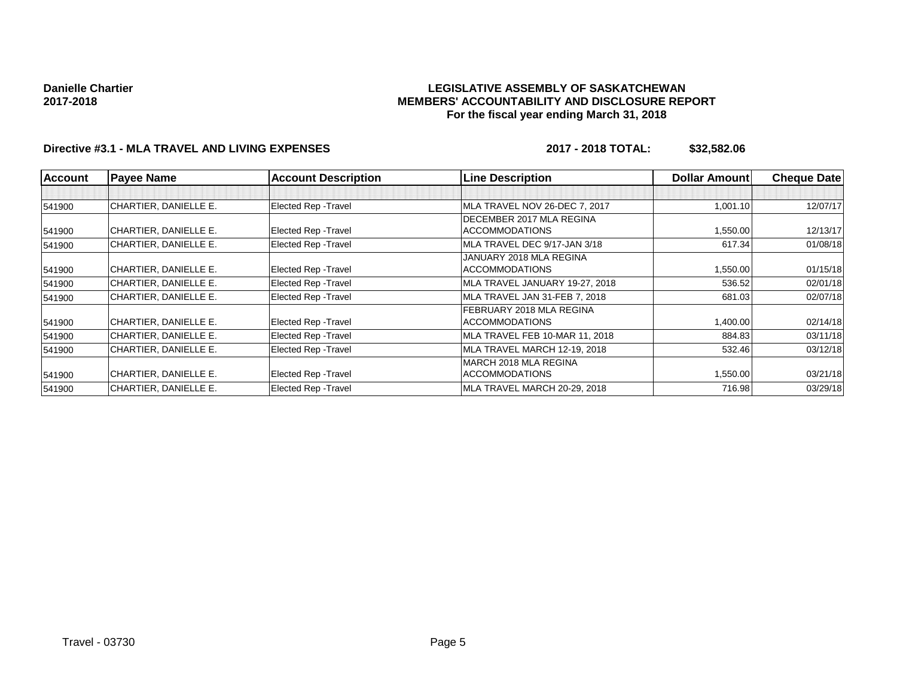## **LEGISLATIVE ASSEMBLY OF SASKATCHEWAN MEMBERS' ACCOUNTABILITY AND DISCLOSURE REPORT For the fiscal year ending March 31, 2018**

## **Directive #3.1 - MLA TRAVEL AND LIVING EXPENSES 2017 - 2018 TOTAL: \$32,582.06**

| <b>Account</b> | <b>Payee Name</b>     | <b>Account Description</b>  | <b>Line Description</b>        | <b>Dollar Amount</b> | <b>Cheque Date</b> |
|----------------|-----------------------|-----------------------------|--------------------------------|----------------------|--------------------|
|                |                       |                             |                                |                      |                    |
| 541900         | CHARTIER, DANIELLE E. | <b>Elected Rep - Travel</b> | MLA TRAVEL NOV 26-DEC 7, 2017  | 1,001.10             | 12/07/17           |
|                |                       |                             | DECEMBER 2017 MLA REGINA       |                      |                    |
| 541900         | CHARTIER, DANIELLE E. | <b>Elected Rep - Travel</b> | <b>ACCOMMODATIONS</b>          | 1,550.00             | 12/13/17           |
| 541900         | CHARTIER, DANIELLE E. | Elected Rep - Travel        | MLA TRAVEL DEC 9/17-JAN 3/18   | 617.34               | 01/08/18           |
|                |                       |                             | JANUARY 2018 MLA REGINA        |                      |                    |
| 541900         | CHARTIER, DANIELLE E. | <b>Elected Rep - Travel</b> | <b>ACCOMMODATIONS</b>          | 1,550.00             | 01/15/18           |
| 541900         | CHARTIER, DANIELLE E. | <b>Elected Rep - Travel</b> | MLA TRAVEL JANUARY 19-27, 2018 | 536.52               | 02/01/18           |
| 541900         | CHARTIER, DANIELLE E. | <b>Elected Rep - Travel</b> | MLA TRAVEL JAN 31-FEB 7, 2018  | 681.03               | 02/07/18           |
|                |                       |                             | FEBRUARY 2018 MLA REGINA       |                      |                    |
| 541900         | CHARTIER, DANIELLE E. | <b>Elected Rep - Travel</b> | <b>ACCOMMODATIONS</b>          | 1,400.00             | 02/14/18           |
| 541900         | CHARTIER, DANIELLE E. | <b>Elected Rep - Travel</b> | MLA TRAVEL FEB 10-MAR 11, 2018 | 884.83               | 03/11/18           |
| 541900         | CHARTIER, DANIELLE E. | <b>Elected Rep - Travel</b> | MLA TRAVEL MARCH 12-19, 2018   | 532.46               | 03/12/18           |
|                |                       |                             | IMARCH 2018 MLA REGINA         |                      |                    |
| 541900         | CHARTIER, DANIELLE E. | Elected Rep - Travel        | <b>ACCOMMODATIONS</b>          | 1,550.00             | 03/21/18           |
| 541900         | CHARTIER, DANIELLE E. | <b>Elected Rep - Travel</b> | MLA TRAVEL MARCH 20-29, 2018   | 716.98               | 03/29/18           |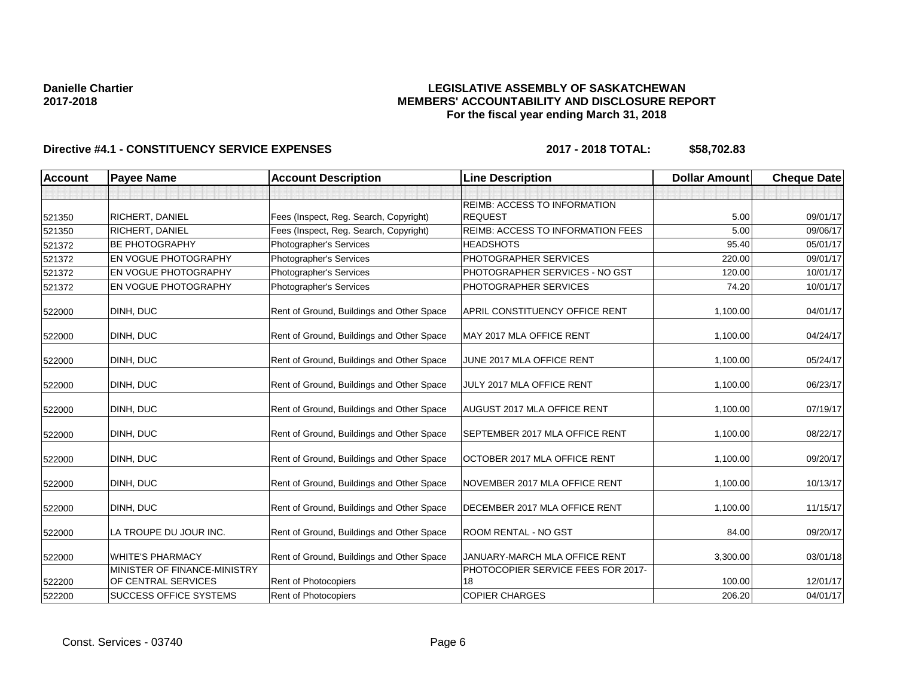## **LEGISLATIVE ASSEMBLY OF SASKATCHEWAN MEMBERS' ACCOUNTABILITY AND DISCLOSURE REPORT For the fiscal year ending March 31, 2018**

| <b>Account</b> | <b>Payee Name</b>             | <b>Account Description</b>                | <b>Line Description</b>               | <b>Dollar Amount</b> | <b>Cheque Date</b> |
|----------------|-------------------------------|-------------------------------------------|---------------------------------------|----------------------|--------------------|
|                |                               |                                           |                                       |                      |                    |
|                |                               |                                           | <b>REIMB: ACCESS TO INFORMATION</b>   |                      |                    |
| 521350         | RICHERT, DANIEL               | Fees (Inspect, Reg. Search, Copyright)    | <b>REQUEST</b>                        | 5.00                 | 09/01/17           |
| 521350         | RICHERT, DANIEL               | Fees (Inspect, Reg. Search, Copyright)    | REIMB: ACCESS TO INFORMATION FEES     | 5.00                 | 09/06/17           |
| 521372         | <b>BE PHOTOGRAPHY</b>         | Photographer's Services                   | <b>HEADSHOTS</b>                      | 95.40                | 05/01/17           |
| 521372         | EN VOGUE PHOTOGRAPHY          | Photographer's Services                   | PHOTOGRAPHER SERVICES                 | 220.00               | 09/01/17           |
| 521372         | EN VOGUE PHOTOGRAPHY          | Photographer's Services                   | PHOTOGRAPHER SERVICES - NO GST        | 120.00               | 10/01/17           |
| 521372         | EN VOGUE PHOTOGRAPHY          | Photographer's Services                   | PHOTOGRAPHER SERVICES                 | 74.20                | 10/01/17           |
| 522000         | DINH, DUC                     | Rent of Ground, Buildings and Other Space | <b>APRIL CONSTITUENCY OFFICE RENT</b> | 1,100.00             | 04/01/17           |
| 522000         | DINH, DUC                     | Rent of Ground, Buildings and Other Space | MAY 2017 MLA OFFICE RENT              | 1,100.00             | 04/24/17           |
| 522000         | DINH, DUC                     | Rent of Ground, Buildings and Other Space | JUNE 2017 MLA OFFICE RENT             | 1,100.00             | 05/24/17           |
| 522000         | DINH, DUC                     | Rent of Ground, Buildings and Other Space | JULY 2017 MLA OFFICE RENT             | 1,100.00             | 06/23/17           |
| 522000         | DINH, DUC                     | Rent of Ground, Buildings and Other Space | <b>AUGUST 2017 MLA OFFICE RENT</b>    | 1,100.00             | 07/19/17           |
| 522000         | DINH, DUC                     | Rent of Ground, Buildings and Other Space | SEPTEMBER 2017 MLA OFFICE RENT        | 1,100.00             | 08/22/17           |
| 522000         | DINH, DUC                     | Rent of Ground, Buildings and Other Space | OCTOBER 2017 MLA OFFICE RENT          | 1,100.00             | 09/20/17           |
| 522000         | DINH, DUC                     | Rent of Ground, Buildings and Other Space | NOVEMBER 2017 MLA OFFICE RENT         | 1,100.00             | 10/13/17           |
| 522000         | DINH, DUC                     | Rent of Ground, Buildings and Other Space | DECEMBER 2017 MLA OFFICE RENT         | 1,100.00             | 11/15/17           |
| 522000         | LA TROUPE DU JOUR INC.        | Rent of Ground, Buildings and Other Space | ROOM RENTAL - NO GST                  | 84.00                | 09/20/17           |
| 522000         | <b>WHITE'S PHARMACY</b>       | Rent of Ground, Buildings and Other Space | JANUARY-MARCH MLA OFFICE RENT         | 3,300.00             | 03/01/18           |
|                | MINISTER OF FINANCE-MINISTRY  |                                           | PHOTOCOPIER SERVICE FEES FOR 2017-    |                      |                    |
| 522200         | OF CENTRAL SERVICES           | Rent of Photocopiers                      | 18                                    | 100.00               | 12/01/17           |
| 522200         | <b>SUCCESS OFFICE SYSTEMS</b> | Rent of Photocopiers                      | <b>COPIER CHARGES</b>                 | 206.20               | 04/01/17           |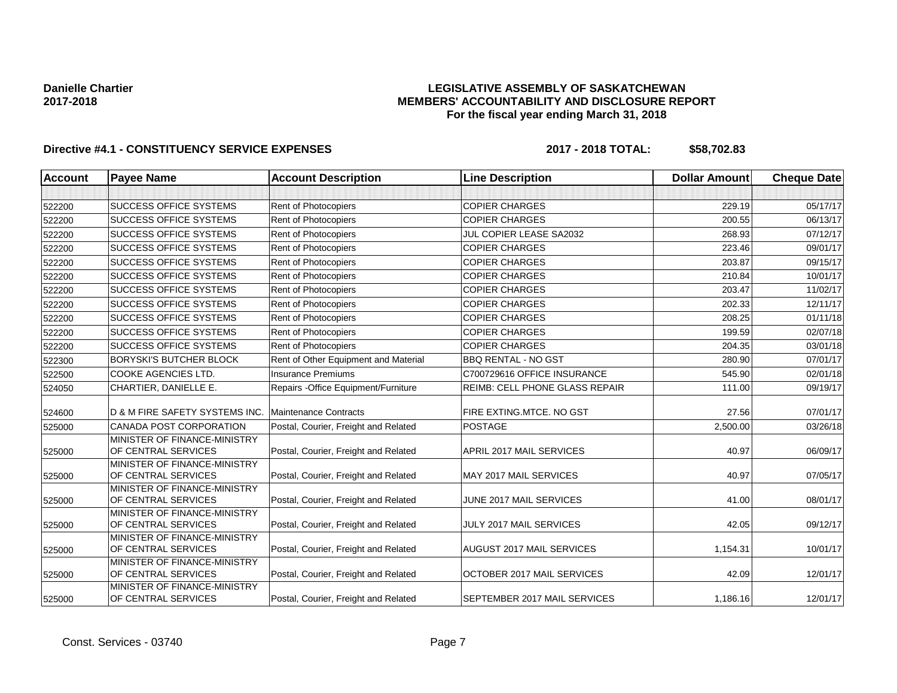## **LEGISLATIVE ASSEMBLY OF SASKATCHEWAN MEMBERS' ACCOUNTABILITY AND DISCLOSURE REPORT For the fiscal year ending March 31, 2018**

| Account | <b>Payee Name</b>                                   | <b>Account Description</b>           | <b>Line Description</b>               | <b>Dollar Amount</b> | <b>Cheque Date</b> |
|---------|-----------------------------------------------------|--------------------------------------|---------------------------------------|----------------------|--------------------|
|         |                                                     |                                      |                                       |                      |                    |
| 522200  | <b>SUCCESS OFFICE SYSTEMS</b>                       | Rent of Photocopiers                 | <b>COPIER CHARGES</b>                 | 229.19               | 05/17/17           |
| 522200  | <b>SUCCESS OFFICE SYSTEMS</b>                       | Rent of Photocopiers                 | <b>COPIER CHARGES</b>                 | 200.55               | 06/13/17           |
| 522200  | <b>SUCCESS OFFICE SYSTEMS</b>                       | Rent of Photocopiers                 | JUL COPIER LEASE SA2032               | 268.93               | 07/12/17           |
| 522200  | <b>SUCCESS OFFICE SYSTEMS</b>                       | Rent of Photocopiers                 | <b>COPIER CHARGES</b>                 | 223.46               | 09/01/17           |
| 522200  | <b>SUCCESS OFFICE SYSTEMS</b>                       | Rent of Photocopiers                 | <b>COPIER CHARGES</b>                 | 203.87               | 09/15/17           |
| 522200  | <b>SUCCESS OFFICE SYSTEMS</b>                       | Rent of Photocopiers                 | <b>COPIER CHARGES</b>                 | 210.84               | 10/01/17           |
| 522200  | <b>SUCCESS OFFICE SYSTEMS</b>                       | Rent of Photocopiers                 | <b>COPIER CHARGES</b>                 | 203.47               | 11/02/17           |
| 522200  | <b>SUCCESS OFFICE SYSTEMS</b>                       | Rent of Photocopiers                 | <b>COPIER CHARGES</b>                 | 202.33               | 12/11/17           |
| 522200  | <b>SUCCESS OFFICE SYSTEMS</b>                       | Rent of Photocopiers                 | <b>COPIER CHARGES</b>                 | 208.25               | 01/11/18           |
| 522200  | <b>SUCCESS OFFICE SYSTEMS</b>                       | Rent of Photocopiers                 | <b>COPIER CHARGES</b>                 | 199.59               | 02/07/18           |
| 522200  | <b>SUCCESS OFFICE SYSTEMS</b>                       | Rent of Photocopiers                 | <b>COPIER CHARGES</b>                 | 204.35               | 03/01/18           |
| 522300  | <b>BORYSKI'S BUTCHER BLOCK</b>                      | Rent of Other Equipment and Material | <b>BBQ RENTAL - NO GST</b>            | 280.90               | 07/01/17           |
| 522500  | <b>COOKE AGENCIES LTD.</b>                          | <b>Insurance Premiums</b>            | C700729616 OFFICE INSURANCE           | 545.90               | 02/01/18           |
| 524050  | CHARTIER, DANIELLE E.                               | Repairs - Office Equipment/Furniture | <b>REIMB: CELL PHONE GLASS REPAIR</b> | 111.00               | 09/19/17           |
| 524600  | D & M FIRE SAFETY SYSTEMS INC.                      | <b>Maintenance Contracts</b>         | FIRE EXTING.MTCE. NO GST              | 27.56                | 07/01/17           |
| 525000  | CANADA POST CORPORATION                             | Postal, Courier, Freight and Related | <b>POSTAGE</b>                        | 2,500.00             | 03/26/18           |
| 525000  | MINISTER OF FINANCE-MINISTRY<br>OF CENTRAL SERVICES | Postal, Courier, Freight and Related | APRIL 2017 MAIL SERVICES              | 40.97                | 06/09/17           |
| 525000  | MINISTER OF FINANCE-MINISTRY<br>OF CENTRAL SERVICES | Postal, Courier, Freight and Related | MAY 2017 MAIL SERVICES                | 40.97                | 07/05/17           |
| 525000  | MINISTER OF FINANCE-MINISTRY<br>OF CENTRAL SERVICES | Postal, Courier, Freight and Related | JUNE 2017 MAIL SERVICES               | 41.00                | 08/01/17           |
| 525000  | MINISTER OF FINANCE-MINISTRY<br>OF CENTRAL SERVICES | Postal, Courier, Freight and Related | JULY 2017 MAIL SERVICES               | 42.05                | 09/12/17           |
| 525000  | MINISTER OF FINANCE-MINISTRY<br>OF CENTRAL SERVICES | Postal, Courier, Freight and Related | AUGUST 2017 MAIL SERVICES             | 1,154.31             | 10/01/17           |
| 525000  | MINISTER OF FINANCE-MINISTRY<br>OF CENTRAL SERVICES | Postal, Courier, Freight and Related | OCTOBER 2017 MAIL SERVICES            | 42.09                | 12/01/17           |
| 525000  | MINISTER OF FINANCE-MINISTRY<br>OF CENTRAL SERVICES | Postal, Courier, Freight and Related | SEPTEMBER 2017 MAIL SERVICES          | 1,186.16             | 12/01/17           |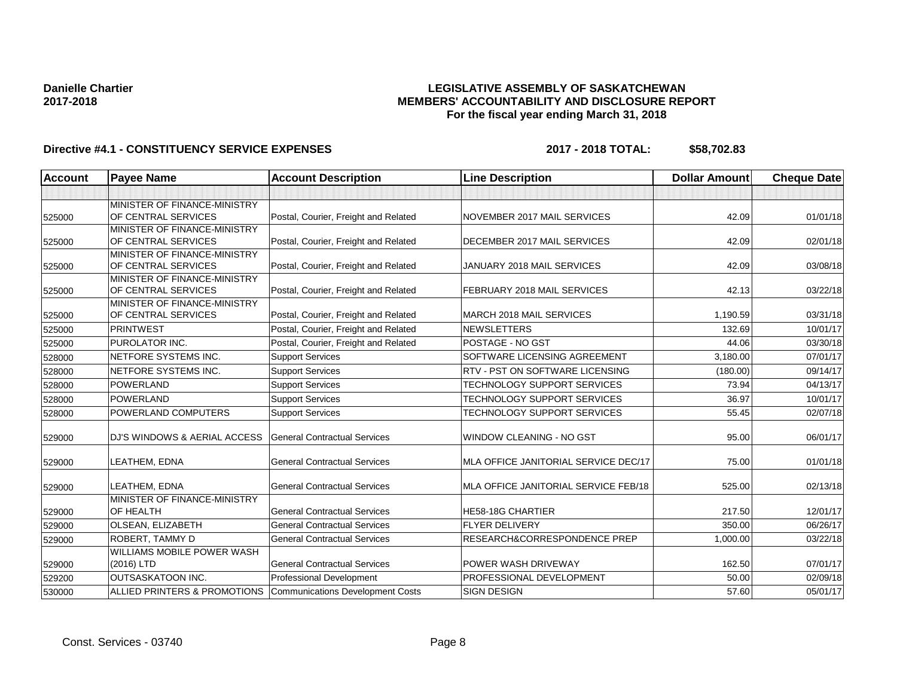## **LEGISLATIVE ASSEMBLY OF SASKATCHEWAN MEMBERS' ACCOUNTABILITY AND DISCLOSURE REPORT For the fiscal year ending March 31, 2018**

| Account | <b>Payee Name</b>                                   | <b>Account Description</b>              | <b>Line Description</b>              | <b>Dollar Amount</b> | <b>Cheque Date</b> |
|---------|-----------------------------------------------------|-----------------------------------------|--------------------------------------|----------------------|--------------------|
|         |                                                     |                                         |                                      |                      |                    |
| 525000  | MINISTER OF FINANCE-MINISTRY<br>OF CENTRAL SERVICES | Postal, Courier, Freight and Related    | NOVEMBER 2017 MAIL SERVICES          | 42.09                | 01/01/18           |
| 525000  | MINISTER OF FINANCE-MINISTRY<br>OF CENTRAL SERVICES | Postal, Courier, Freight and Related    | DECEMBER 2017 MAIL SERVICES          | 42.09                | 02/01/18           |
| 525000  | MINISTER OF FINANCE-MINISTRY<br>OF CENTRAL SERVICES | Postal, Courier, Freight and Related    | JANUARY 2018 MAIL SERVICES           | 42.09                | 03/08/18           |
| 525000  | MINISTER OF FINANCE-MINISTRY<br>OF CENTRAL SERVICES | Postal, Courier, Freight and Related    | FEBRUARY 2018 MAIL SERVICES          | 42.13                | 03/22/18           |
| 525000  | MINISTER OF FINANCE-MINISTRY<br>OF CENTRAL SERVICES | Postal, Courier, Freight and Related    | <b>MARCH 2018 MAIL SERVICES</b>      | 1,190.59             | 03/31/18           |
| 525000  | <b>PRINTWEST</b>                                    | Postal, Courier, Freight and Related    | <b>NEWSLETTERS</b>                   | 132.69               | 10/01/17           |
| 525000  | PUROLATOR INC.                                      | Postal, Courier, Freight and Related    | POSTAGE - NO GST                     | 44.06                | 03/30/18           |
| 528000  | NETFORE SYSTEMS INC.                                | <b>Support Services</b>                 | SOFTWARE LICENSING AGREEMENT         | 3,180.00             | 07/01/17           |
| 528000  | NETFORE SYSTEMS INC.                                | <b>Support Services</b>                 | RTV - PST ON SOFTWARE LICENSING      | (180.00)             | 09/14/17           |
| 528000  | POWERLAND                                           | <b>Support Services</b>                 | <b>TECHNOLOGY SUPPORT SERVICES</b>   | 73.94                | 04/13/17           |
| 528000  | <b>POWERLAND</b>                                    | <b>Support Services</b>                 | TECHNOLOGY SUPPORT SERVICES          | 36.97                | 10/01/17           |
| 528000  | POWERLAND COMPUTERS                                 | <b>Support Services</b>                 | TECHNOLOGY SUPPORT SERVICES          | 55.45                | 02/07/18           |
| 529000  | <b>DJ'S WINDOWS &amp; AERIAL ACCESS</b>             | <b>General Contractual Services</b>     | <b>WINDOW CLEANING - NO GST</b>      | 95.00                | 06/01/17           |
| 529000  | LEATHEM, EDNA                                       | <b>General Contractual Services</b>     | MLA OFFICE JANITORIAL SERVICE DEC/17 | 75.00                | 01/01/18           |
| 529000  | LEATHEM, EDNA                                       | <b>General Contractual Services</b>     | MLA OFFICE JANITORIAL SERVICE FEB/18 | 525.00               | 02/13/18           |
| 529000  | MINISTER OF FINANCE-MINISTRY<br>OF HEALTH           | <b>General Contractual Services</b>     | <b>HE58-18G CHARTIER</b>             | 217.50               | 12/01/17           |
| 529000  | OLSEAN, ELIZABETH                                   | <b>General Contractual Services</b>     | <b>FLYER DELIVERY</b>                | 350.00               | 06/26/17           |
| 529000  | ROBERT, TAMMY D                                     | <b>General Contractual Services</b>     | RESEARCH&CORRESPONDENCE PREP         | 1,000.00             | 03/22/18           |
| 529000  | <b>WILLIAMS MOBILE POWER WASH</b><br>(2016) LTD     | <b>General Contractual Services</b>     | POWER WASH DRIVEWAY                  | 162.50               | 07/01/17           |
| 529200  | <b>OUTSASKATOON INC.</b>                            | <b>Professional Development</b>         | PROFESSIONAL DEVELOPMENT             | 50.00                | 02/09/18           |
| 530000  | <b>ALLIED PRINTERS &amp; PROMOTIONS</b>             | <b>Communications Development Costs</b> | <b>SIGN DESIGN</b>                   | 57.60                | 05/01/17           |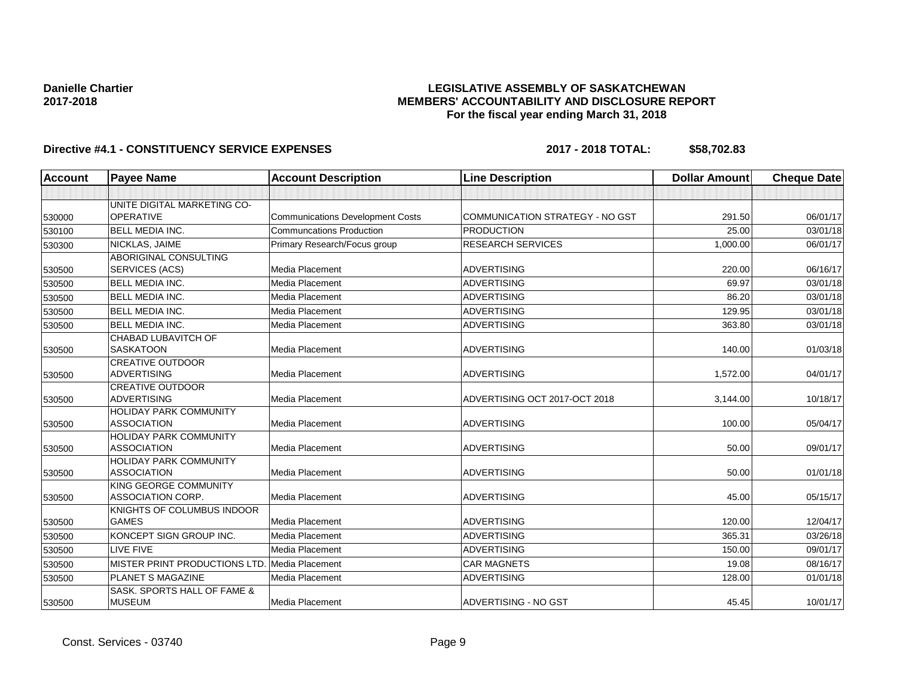## **LEGISLATIVE ASSEMBLY OF SASKATCHEWAN MEMBERS' ACCOUNTABILITY AND DISCLOSURE REPORT For the fiscal year ending March 31, 2018**

| <b>Account</b> | <b>Payee Name</b>                            | <b>Account Description</b>              | <b>Line Description</b>         | <b>Dollar Amount</b> | <b>Cheque Date</b> |
|----------------|----------------------------------------------|-----------------------------------------|---------------------------------|----------------------|--------------------|
|                |                                              |                                         |                                 |                      |                    |
|                | UNITE DIGITAL MARKETING CO-                  |                                         |                                 |                      |                    |
| 530000         | <b>OPERATIVE</b>                             | <b>Communications Development Costs</b> | COMMUNICATION STRATEGY - NO GST | 291.50               | 06/01/17           |
| 530100         | <b>BELL MEDIA INC.</b>                       | <b>Communcations Production</b>         | <b>PRODUCTION</b>               | 25.00                | 03/01/18           |
| 530300         | NICKLAS, JAIME                               | Primary Research/Focus group            | <b>RESEARCH SERVICES</b>        | 1,000.00             | 06/01/17           |
|                | <b>ABORIGINAL CONSULTING</b>                 |                                         |                                 |                      |                    |
| 530500         | SERVICES (ACS)                               | Media Placement                         | <b>ADVERTISING</b>              | 220.00               | 06/16/17           |
| 530500         | <b>BELL MEDIA INC.</b>                       | Media Placement                         | <b>ADVERTISING</b>              | 69.97                | 03/01/18           |
| 530500         | <b>BELL MEDIA INC.</b>                       | Media Placement                         | <b>ADVERTISING</b>              | 86.20                | 03/01/18           |
| 530500         | <b>BELL MEDIA INC.</b>                       | Media Placement                         | <b>ADVERTISING</b>              | 129.95               | 03/01/18           |
| 530500         | <b>BELL MEDIA INC.</b>                       | Media Placement                         | <b>ADVERTISING</b>              | 363.80               | 03/01/18           |
|                | CHABAD LUBAVITCH OF                          |                                         |                                 |                      |                    |
| 530500         | <b>SASKATOON</b>                             | Media Placement                         | <b>ADVERTISING</b>              | 140.00               | 01/03/18           |
|                | <b>CREATIVE OUTDOOR</b>                      |                                         |                                 |                      |                    |
| 530500         | <b>ADVERTISING</b>                           | Media Placement                         | <b>ADVERTISING</b>              | 1,572.00             | 04/01/17           |
|                | <b>CREATIVE OUTDOOR</b>                      |                                         |                                 |                      |                    |
| 530500         | <b>ADVERTISING</b>                           | Media Placement                         | ADVERTISING OCT 2017-OCT 2018   | 3,144.00             | 10/18/17           |
|                | <b>HOLIDAY PARK COMMUNITY</b>                |                                         |                                 |                      |                    |
| 530500         | <b>ASSOCIATION</b>                           | Media Placement                         | <b>ADVERTISING</b>              | 100.00               | 05/04/17           |
| 530500         | HOLIDAY PARK COMMUNITY<br><b>ASSOCIATION</b> | Media Placement                         | <b>ADVERTISING</b>              | 50.00                | 09/01/17           |
|                | <b>HOLIDAY PARK COMMUNITY</b>                |                                         |                                 |                      |                    |
| 530500         | <b>ASSOCIATION</b>                           | Media Placement                         | <b>ADVERTISING</b>              | 50.00                | 01/01/18           |
|                | KING GEORGE COMMUNITY                        |                                         |                                 |                      |                    |
| 530500         | <b>ASSOCIATION CORP.</b>                     | Media Placement                         | <b>ADVERTISING</b>              | 45.00                | 05/15/17           |
|                | KNIGHTS OF COLUMBUS INDOOR                   |                                         |                                 |                      |                    |
| 530500         | <b>GAMES</b>                                 | Media Placement                         | <b>ADVERTISING</b>              | 120.00               | 12/04/17           |
| 530500         | KONCEPT SIGN GROUP INC.                      | Media Placement                         | <b>ADVERTISING</b>              | 365.31               | 03/26/18           |
| 530500         | <b>LIVE FIVE</b>                             | Media Placement                         | <b>ADVERTISING</b>              | 150.00               | 09/01/17           |
| 530500         | MISTER PRINT PRODUCTIONS LTD.                | Media Placement                         | <b>CAR MAGNETS</b>              | 19.08                | 08/16/17           |
| 530500         | <b>PLANET S MAGAZINE</b>                     | Media Placement                         | <b>ADVERTISING</b>              | 128.00               | 01/01/18           |
|                | SASK, SPORTS HALL OF FAME &                  |                                         |                                 |                      |                    |
| 530500         | <b>MUSEUM</b>                                | Media Placement                         | ADVERTISING - NO GST            | 45.45                | 10/01/17           |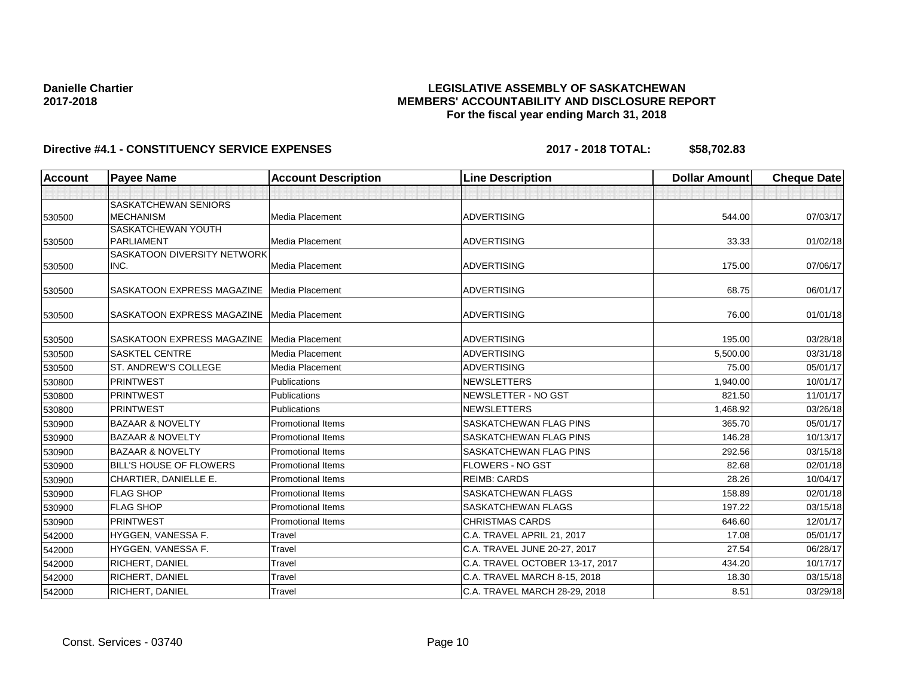## **LEGISLATIVE ASSEMBLY OF SASKATCHEWAN MEMBERS' ACCOUNTABILITY AND DISCLOSURE REPORT For the fiscal year ending March 31, 2018**

| Account | <b>Payee Name</b>                   | <b>Account Description</b> | <b>Line Description</b>         | <b>Dollar Amount</b> | <b>Cheque Date</b> |
|---------|-------------------------------------|----------------------------|---------------------------------|----------------------|--------------------|
|         |                                     |                            |                                 |                      |                    |
|         | SASKATCHEWAN SENIORS                |                            |                                 |                      |                    |
| 530500  | <b>MECHANISM</b>                    | Media Placement            | <b>ADVERTISING</b>              | 544.00               | 07/03/17           |
|         | SASKATCHEWAN YOUTH                  |                            |                                 |                      |                    |
| 530500  | <b>PARLIAMENT</b>                   | Media Placement            | <b>ADVERTISING</b>              | 33.33                | 01/02/18           |
| 530500  | SASKATOON DIVERSITY NETWORK<br>INC. | Media Placement            | <b>ADVERTISING</b>              | 175.00               | 07/06/17           |
|         |                                     |                            |                                 |                      |                    |
| 530500  | SASKATOON EXPRESS MAGAZINE          | Media Placement            | <b>ADVERTISING</b>              | 68.75                | 06/01/17           |
| 530500  | SASKATOON EXPRESS MAGAZINE          | Media Placement            | <b>ADVERTISING</b>              | 76.00                | 01/01/18           |
| 530500  | SASKATOON EXPRESS MAGAZINE          | Media Placement            | <b>ADVERTISING</b>              | 195.00               | 03/28/18           |
| 530500  | <b>SASKTEL CENTRE</b>               | Media Placement            | <b>ADVERTISING</b>              | 5,500.00             | 03/31/18           |
| 530500  | <b>ST. ANDREW'S COLLEGE</b>         | Media Placement            | <b>ADVERTISING</b>              | 75.00                | 05/01/17           |
| 530800  | <b>PRINTWEST</b>                    | <b>Publications</b>        | <b>NEWSLETTERS</b>              | 1.940.00             | 10/01/17           |
| 530800  | <b>PRINTWEST</b>                    | Publications               | NEWSLETTER - NO GST             | 821.50               | 11/01/17           |
| 530800  | <b>PRINTWEST</b>                    | Publications               | <b>NEWSLETTERS</b>              | 1,468.92             | 03/26/18           |
| 530900  | <b>BAZAAR &amp; NOVELTY</b>         | <b>Promotional Items</b>   | SASKATCHEWAN FLAG PINS          | 365.70               | 05/01/17           |
| 530900  | <b>BAZAAR &amp; NOVELTY</b>         | <b>Promotional Items</b>   | SASKATCHEWAN FLAG PINS          | 146.28               | 10/13/17           |
| 530900  | <b>BAZAAR &amp; NOVELTY</b>         | <b>Promotional Items</b>   | SASKATCHEWAN FLAG PINS          | 292.56               | 03/15/18           |
| 530900  | <b>BILL'S HOUSE OF FLOWERS</b>      | <b>Promotional Items</b>   | <b>FLOWERS - NO GST</b>         | 82.68                | 02/01/18           |
| 530900  | CHARTIER, DANIELLE E.               | <b>Promotional Items</b>   | <b>REIMB: CARDS</b>             | 28.26                | 10/04/17           |
| 530900  | <b>FLAG SHOP</b>                    | <b>Promotional Items</b>   | <b>SASKATCHEWAN FLAGS</b>       | 158.89               | 02/01/18           |
| 530900  | <b>FLAG SHOP</b>                    | <b>Promotional Items</b>   | SASKATCHEWAN FLAGS              | 197.22               | 03/15/18           |
| 530900  | <b>PRINTWEST</b>                    | <b>Promotional Items</b>   | <b>CHRISTMAS CARDS</b>          | 646.60               | 12/01/17           |
| 542000  | HYGGEN, VANESSA F.                  | Travel                     | C.A. TRAVEL APRIL 21, 2017      | 17.08                | 05/01/17           |
| 542000  | HYGGEN, VANESSA F.                  | Travel                     | C.A. TRAVEL JUNE 20-27, 2017    | 27.54                | 06/28/17           |
| 542000  | <b>RICHERT, DANIEL</b>              | Travel                     | C.A. TRAVEL OCTOBER 13-17, 2017 | 434.20               | 10/17/17           |
| 542000  | RICHERT, DANIEL                     | Travel                     | C.A. TRAVEL MARCH 8-15, 2018    | 18.30                | 03/15/18           |
| 542000  | RICHERT, DANIEL                     | Travel                     | C.A. TRAVEL MARCH 28-29, 2018   | 8.51                 | 03/29/18           |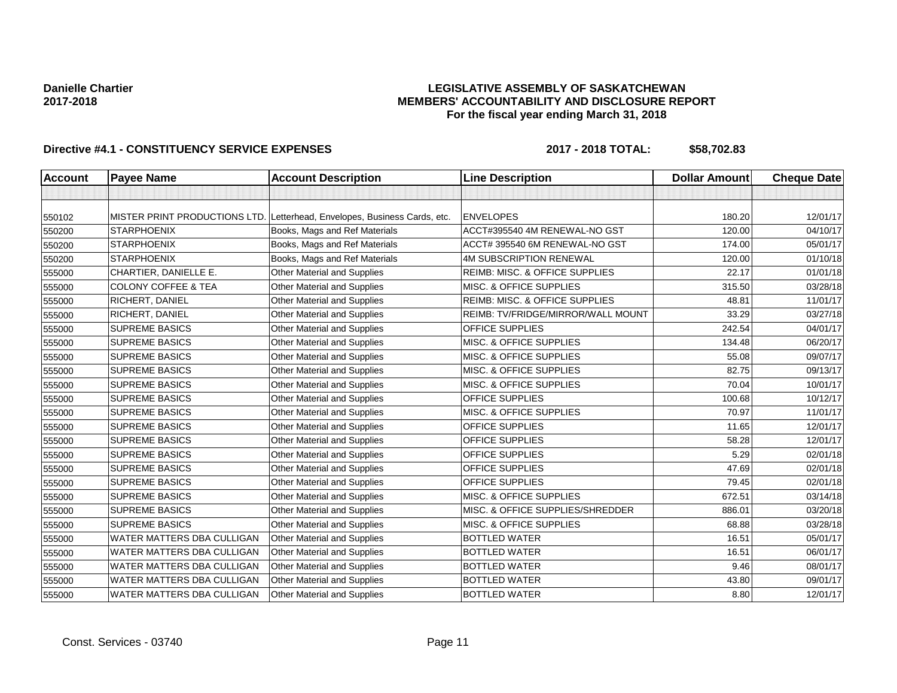## **LEGISLATIVE ASSEMBLY OF SASKATCHEWAN MEMBERS' ACCOUNTABILITY AND DISCLOSURE REPORT For the fiscal year ending March 31, 2018**

| <b>Account</b> | <b>Payee Name</b>                 | <b>Account Description</b>                  | <b>Line Description</b>                   | <b>Dollar Amount</b> | <b>Cheque Date</b> |
|----------------|-----------------------------------|---------------------------------------------|-------------------------------------------|----------------------|--------------------|
|                |                                   |                                             |                                           |                      |                    |
| 550102         | MISTER PRINT PRODUCTIONS LTD.     | Letterhead, Envelopes, Business Cards, etc. | <b>ENVELOPES</b>                          | 180.20               | 12/01/17           |
| 550200         | <b>STARPHOENIX</b>                | Books, Mags and Ref Materials               | ACCT#395540 4M RENEWAL-NO GST             | 120.00               | 04/10/17           |
| 550200         | <b>STARPHOENIX</b>                | Books, Mags and Ref Materials               | ACCT# 395540 6M RENEWAL-NO GST            | 174.00               | 05/01/17           |
| 550200         | <b>STARPHOENIX</b>                | Books, Mags and Ref Materials               | <b>4M SUBSCRIPTION RENEWAL</b>            | 120.00               | 01/10/18           |
| 555000         | CHARTIER, DANIELLE E.             | Other Material and Supplies                 | <b>REIMB: MISC. &amp; OFFICE SUPPLIES</b> | 22.17                | 01/01/18           |
| 555000         | <b>COLONY COFFEE &amp; TEA</b>    | Other Material and Supplies                 | MISC. & OFFICE SUPPLIES                   | 315.50               | 03/28/18           |
| 555000         | RICHERT, DANIEL                   | Other Material and Supplies                 | REIMB: MISC. & OFFICE SUPPLIES            | 48.81                | 11/01/17           |
| 555000         | RICHERT, DANIEL                   | Other Material and Supplies                 | REIMB: TV/FRIDGE/MIRROR/WALL MOUNT        | 33.29                | 03/27/18           |
| 555000         | <b>SUPREME BASICS</b>             | Other Material and Supplies                 | OFFICE SUPPLIES                           | 242.54               | 04/01/17           |
| 555000         | <b>SUPREME BASICS</b>             | Other Material and Supplies                 | MISC. & OFFICE SUPPLIES                   | 134.48               | 06/20/17           |
| 555000         | <b>SUPREME BASICS</b>             | Other Material and Supplies                 | MISC. & OFFICE SUPPLIES                   | 55.08                | 09/07/17           |
| 555000         | <b>SUPREME BASICS</b>             | Other Material and Supplies                 | MISC. & OFFICE SUPPLIES                   | 82.75                | 09/13/17           |
| 555000         | <b>SUPREME BASICS</b>             | Other Material and Supplies                 | MISC. & OFFICE SUPPLIES                   | 70.04                | 10/01/17           |
| 555000         | <b>SUPREME BASICS</b>             | Other Material and Supplies                 | OFFICE SUPPLIES                           | 100.68               | 10/12/17           |
| 555000         | <b>SUPREME BASICS</b>             | Other Material and Supplies                 | MISC. & OFFICE SUPPLIES                   | 70.97                | 11/01/17           |
| 555000         | <b>SUPREME BASICS</b>             | Other Material and Supplies                 | OFFICE SUPPLIES                           | 11.65                | 12/01/17           |
| 555000         | <b>SUPREME BASICS</b>             | Other Material and Supplies                 | OFFICE SUPPLIES                           | 58.28                | 12/01/17           |
| 555000         | <b>SUPREME BASICS</b>             | Other Material and Supplies                 | OFFICE SUPPLIES                           | 5.29                 | 02/01/18           |
| 555000         | <b>SUPREME BASICS</b>             | Other Material and Supplies                 | <b>OFFICE SUPPLIES</b>                    | 47.69                | 02/01/18           |
| 555000         | <b>SUPREME BASICS</b>             | Other Material and Supplies                 | OFFICE SUPPLIES                           | 79.45                | 02/01/18           |
| 555000         | <b>SUPREME BASICS</b>             | Other Material and Supplies                 | MISC. & OFFICE SUPPLIES                   | 672.51               | 03/14/18           |
| 555000         | <b>SUPREME BASICS</b>             | Other Material and Supplies                 | MISC. & OFFICE SUPPLIES/SHREDDER          | 886.01               | 03/20/18           |
| 555000         | <b>SUPREME BASICS</b>             | Other Material and Supplies                 | MISC. & OFFICE SUPPLIES                   | 68.88                | 03/28/18           |
| 555000         | WATER MATTERS DBA CULLIGAN        | Other Material and Supplies                 | <b>BOTTLED WATER</b>                      | 16.51                | 05/01/17           |
| 555000         | WATER MATTERS DBA CULLIGAN        | Other Material and Supplies                 | <b>BOTTLED WATER</b>                      | 16.51                | 06/01/17           |
| 555000         | WATER MATTERS DBA CULLIGAN        | Other Material and Supplies                 | <b>BOTTLED WATER</b>                      | 9.46                 | 08/01/17           |
| 555000         | <b>WATER MATTERS DBA CULLIGAN</b> | Other Material and Supplies                 | <b>BOTTLED WATER</b>                      | 43.80                | 09/01/17           |
| 555000         | WATER MATTERS DBA CULLIGAN        | Other Material and Supplies                 | <b>BOTTLED WATER</b>                      | 8.80                 | 12/01/17           |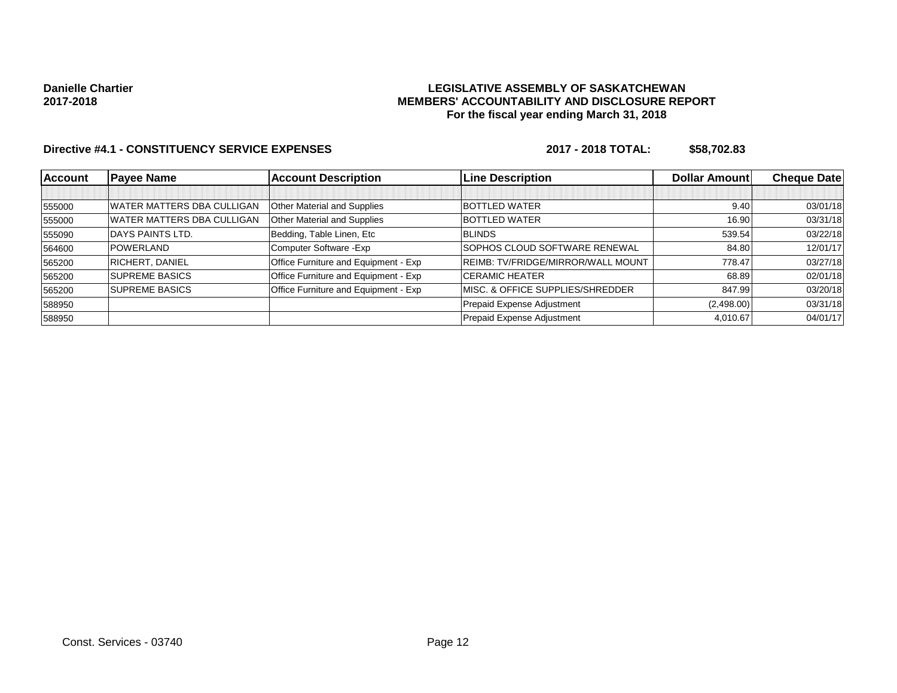## **LEGISLATIVE ASSEMBLY OF SASKATCHEWAN MEMBERS' ACCOUNTABILITY AND DISCLOSURE REPORT For the fiscal year ending March 31, 2018**

| <b>Account</b> | <b>Payee Name</b>                  | <b>Account Description</b>           | <b>Line Description</b>                   | <b>Dollar Amountl</b> | <b>Cheque Datel</b> |
|----------------|------------------------------------|--------------------------------------|-------------------------------------------|-----------------------|---------------------|
|                |                                    |                                      |                                           |                       |                     |
| 555000         | WATER MATTERS DBA CULLIGAN         | Other Material and Supplies          | <b>BOTTLED WATER</b>                      | 9.40                  | 03/01/18            |
| 555000         | <b>IWATER MATTERS DBA CULLIGAN</b> | Other Material and Supplies          | <b>BOTTLED WATER</b>                      | 16.90                 | 03/31/18            |
| 555090         | DAYS PAINTS LTD.                   | Bedding, Table Linen, Etc            | <b>BLINDS</b>                             | 539.54                | 03/22/18            |
| 564600         | <b>POWERLAND</b>                   | Computer Software - Exp              | SOPHOS CLOUD SOFTWARE RENEWAL             | 84.80                 | 12/01/17            |
| 565200         | <b>RICHERT, DANIEL</b>             | Office Furniture and Equipment - Exp | <b>REIMB: TV/FRIDGE/MIRROR/WALL MOUNT</b> | 778.47                | 03/27/18            |
| 565200         | <b>SUPREME BASICS</b>              | Office Furniture and Equipment - Exp | CERAMIC HEATER                            | 68.89                 | 02/01/18            |
| 565200         | <b>SUPREME BASICS</b>              | Office Furniture and Equipment - Exp | MISC. & OFFICE SUPPLIES/SHREDDER          | 847.99                | 03/20/18            |
| 588950         |                                    |                                      | Prepaid Expense Adjustment                | (2,498.00)            | 03/31/18            |
| 588950         |                                    |                                      | Prepaid Expense Adjustment                | 4.010.67              | 04/01/17            |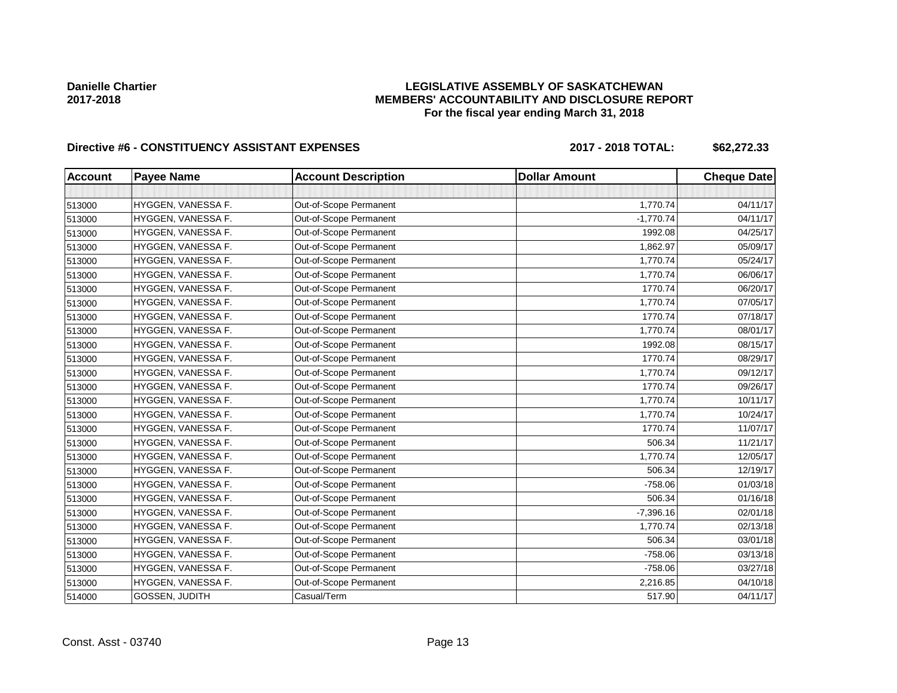## **LEGISLATIVE ASSEMBLY OF SASKATCHEWAN MEMBERS' ACCOUNTABILITY AND DISCLOSURE REPORT For the fiscal year ending March 31, 2018**

# Directive #6 - CONSTITUENCY ASSISTANT EXPENSES 2017 - 2018 TOTAL: \$62,272.33

| <b>Account</b> | <b>Payee Name</b>  | <b>Account Description</b> | <b>Dollar Amount</b> | <b>Cheque Date</b> |
|----------------|--------------------|----------------------------|----------------------|--------------------|
|                |                    |                            |                      |                    |
| 513000         | HYGGEN, VANESSA F. | Out-of-Scope Permanent     | 1,770.74             | 04/11/17           |
| 513000         | HYGGEN, VANESSA F. | Out-of-Scope Permanent     | $-1,770.74$          | 04/11/17           |
| 513000         | HYGGEN, VANESSA F. | Out-of-Scope Permanent     | 1992.08              | 04/25/17           |
| 513000         | HYGGEN, VANESSA F. | Out-of-Scope Permanent     | 1,862.97             | 05/09/17           |
| 513000         | HYGGEN, VANESSA F. | Out-of-Scope Permanent     | 1,770.74             | 05/24/17           |
| 513000         | HYGGEN, VANESSA F. | Out-of-Scope Permanent     | 1,770.74             | 06/06/17           |
| 513000         | HYGGEN, VANESSA F. | Out-of-Scope Permanent     | 1770.74              | 06/20/17           |
| 513000         | HYGGEN, VANESSA F. | Out-of-Scope Permanent     | 1,770.74             | 07/05/17           |
| 513000         | HYGGEN, VANESSA F. | Out-of-Scope Permanent     | 1770.74              | 07/18/17           |
| 513000         | HYGGEN, VANESSA F. | Out-of-Scope Permanent     | 1,770.74             | 08/01/17           |
| 513000         | HYGGEN, VANESSA F. | Out-of-Scope Permanent     | 1992.08              | 08/15/17           |
| 513000         | HYGGEN, VANESSA F. | Out-of-Scope Permanent     | 1770.74              | 08/29/17           |
| 513000         | HYGGEN, VANESSA F. | Out-of-Scope Permanent     | 1,770.74             | 09/12/17           |
| 513000         | HYGGEN, VANESSA F. | Out-of-Scope Permanent     | 1770.74              | 09/26/17           |
| 513000         | HYGGEN, VANESSA F. | Out-of-Scope Permanent     | 1,770.74             | 10/11/17           |
| 513000         | HYGGEN, VANESSA F. | Out-of-Scope Permanent     | 1,770.74             | 10/24/17           |
| 513000         | HYGGEN, VANESSA F. | Out-of-Scope Permanent     | 1770.74              | 11/07/17           |
| 513000         | HYGGEN, VANESSA F. | Out-of-Scope Permanent     | 506.34               | 11/21/17           |
| 513000         | HYGGEN, VANESSA F. | Out-of-Scope Permanent     | 1,770.74             | 12/05/17           |
| 513000         | HYGGEN, VANESSA F. | Out-of-Scope Permanent     | 506.34               | 12/19/17           |
| 513000         | HYGGEN, VANESSA F. | Out-of-Scope Permanent     | $-758.06$            | 01/03/18           |
| 513000         | HYGGEN, VANESSA F. | Out-of-Scope Permanent     | 506.34               | 01/16/18           |
| 513000         | HYGGEN, VANESSA F. | Out-of-Scope Permanent     | $-7,396.16$          | 02/01/18           |
| 513000         | HYGGEN, VANESSA F. | Out-of-Scope Permanent     | 1,770.74             | 02/13/18           |
| 513000         | HYGGEN, VANESSA F. | Out-of-Scope Permanent     | 506.34               | 03/01/18           |
| 513000         | HYGGEN, VANESSA F. | Out-of-Scope Permanent     | $-758.06$            | 03/13/18           |
| 513000         | HYGGEN, VANESSA F. | Out-of-Scope Permanent     | $-758.06$            | 03/27/18           |
| 513000         | HYGGEN, VANESSA F. | Out-of-Scope Permanent     | 2,216.85             | 04/10/18           |
| 514000         | GOSSEN, JUDITH     | Casual/Term                | 517.90               | 04/11/17           |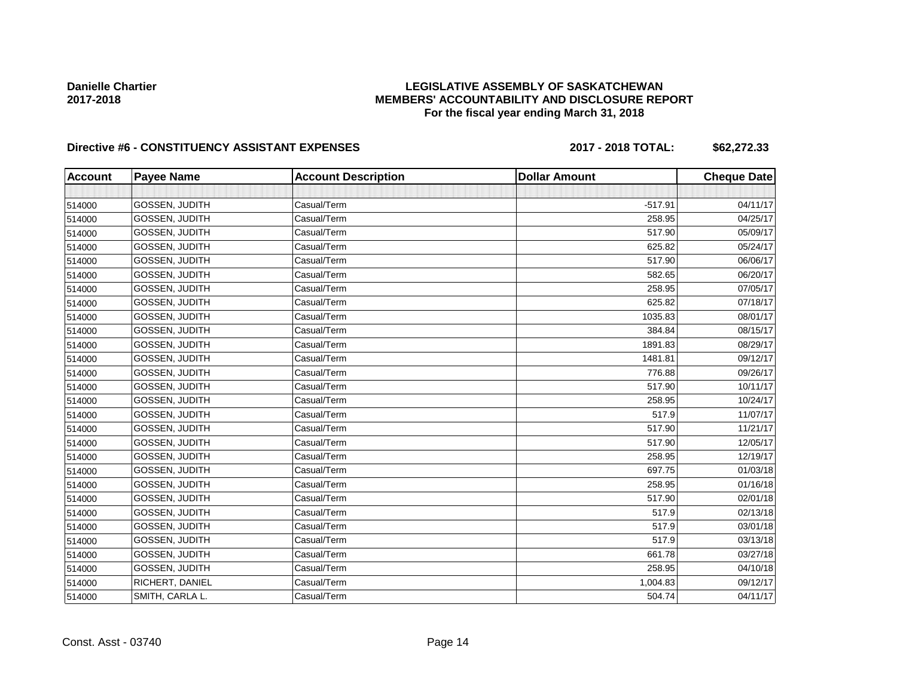## **LEGISLATIVE ASSEMBLY OF SASKATCHEWAN MEMBERS' ACCOUNTABILITY AND DISCLOSURE REPORT For the fiscal year ending March 31, 2018**

## Directive #6 - CONSTITUENCY ASSISTANT EXPENSES 2017 - 2018 TOTAL: \$62,272.33

| <b>Account</b> | <b>Payee Name</b>     | <b>Account Description</b> | <b>Dollar Amount</b> | <b>Cheque Date</b> |
|----------------|-----------------------|----------------------------|----------------------|--------------------|
|                |                       |                            |                      |                    |
| 514000         | <b>GOSSEN, JUDITH</b> | Casual/Term                | $-517.91$            | 04/11/17           |
| 514000         | GOSSEN, JUDITH        | Casual/Term                | 258.95               | 04/25/17           |
| 514000         | GOSSEN, JUDITH        | Casual/Term                | 517.90               | 05/09/17           |
| 514000         | GOSSEN, JUDITH        | Casual/Term                | 625.82               | 05/24/17           |
| 514000         | GOSSEN, JUDITH        | Casual/Term                | 517.90               | 06/06/17           |
| 514000         | <b>GOSSEN, JUDITH</b> | Casual/Term                | 582.65               | 06/20/17           |
| 514000         | GOSSEN, JUDITH        | Casual/Term                | 258.95               | 07/05/17           |
| 514000         | <b>GOSSEN, JUDITH</b> | Casual/Term                | 625.82               | 07/18/17           |
| 514000         | <b>GOSSEN, JUDITH</b> | Casual/Term                | 1035.83              | 08/01/17           |
| 514000         | <b>GOSSEN, JUDITH</b> | Casual/Term                | 384.84               | 08/15/17           |
| 514000         | GOSSEN, JUDITH        | Casual/Term                | 1891.83              | 08/29/17           |
| 514000         | GOSSEN, JUDITH        | Casual/Term                | 1481.81              | 09/12/17           |
| 514000         | <b>GOSSEN, JUDITH</b> | Casual/Term                | 776.88               | 09/26/17           |
| 514000         | GOSSEN, JUDITH        | Casual/Term                | 517.90               | 10/11/17           |
| 514000         | GOSSEN, JUDITH        | Casual/Term                | 258.95               | 10/24/17           |
| 514000         | GOSSEN, JUDITH        | Casual/Term                | 517.9                | 11/07/17           |
| 514000         | <b>GOSSEN, JUDITH</b> | Casual/Term                | 517.90               | 11/21/17           |
| 514000         | GOSSEN, JUDITH        | Casual/Term                | 517.90               | 12/05/17           |
| 514000         | GOSSEN, JUDITH        | Casual/Term                | 258.95               | 12/19/17           |
| 514000         | <b>GOSSEN, JUDITH</b> | Casual/Term                | 697.75               | 01/03/18           |
| 514000         | GOSSEN, JUDITH        | Casual/Term                | 258.95               | 01/16/18           |
| 514000         | GOSSEN, JUDITH        | Casual/Term                | 517.90               | 02/01/18           |
| 514000         | GOSSEN, JUDITH        | Casual/Term                | 517.9                | 02/13/18           |
| 514000         | <b>GOSSEN, JUDITH</b> | Casual/Term                | 517.9                | 03/01/18           |
| 514000         | GOSSEN, JUDITH        | Casual/Term                | 517.9                | 03/13/18           |
| 514000         | GOSSEN, JUDITH        | Casual/Term                | 661.78               | 03/27/18           |
| 514000         | GOSSEN, JUDITH        | Casual/Term                | 258.95               | 04/10/18           |
| 514000         | RICHERT, DANIEL       | Casual/Term                | 1,004.83             | 09/12/17           |
| 514000         | SMITH, CARLA L.       | Casual/Term                | 504.74               | 04/11/17           |